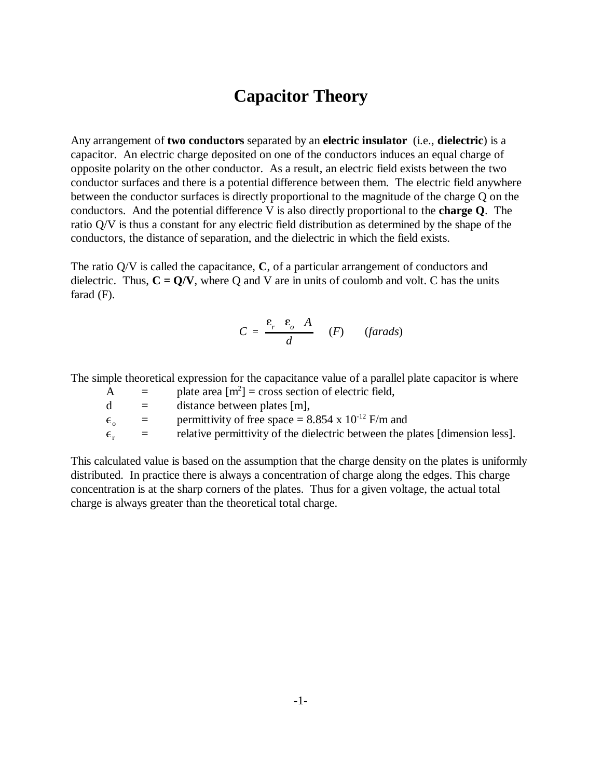## **Capacitor Theory**

Any arrangement of **two conductors** separated by an **electric insulator** (i.e., **dielectric**) is a capacitor. An electric charge deposited on one of the conductors induces an equal charge of opposite polarity on the other conductor. As a result, an electric field exists between the two conductor surfaces and there is a potential difference between them. The electric field anywhere between the conductor surfaces is directly proportional to the magnitude of the charge Q on the conductors. And the potential difference V is also directly proportional to the **charge Q**. The ratio Q/V is thus a constant for any electric field distribution as determined by the shape of the conductors, the distance of separation, and the dielectric in which the field exists.

The ratio Q/V is called the capacitance, **C**, of a particular arrangement of conductors and dielectric. Thus,  $C = Q/V$ , where Q and V are in units of coulomb and volt. C has the units farad (F).

$$
C = \frac{\varepsilon_r \varepsilon_o A}{d} \quad (F) \quad (farads)
$$

The simple theoretical expression for the capacitance value of a parallel plate capacitor is where

| A            | $=$                       | plate area $[m^2]$ = cross section of electric field,                        |
|--------------|---------------------------|------------------------------------------------------------------------------|
| d            | $=$                       | distance between plates [m],                                                 |
| $\epsilon$ . | $\equiv$                  | permittivity of free space = 8.854 x $10^{-12}$ F/m and                      |
| $\epsilon$ . | $\mathbf{r} = \mathbf{r}$ | relative permittivity of the dielectric between the plates [dimension less]. |

This calculated value is based on the assumption that the charge density on the plates is uniformly distributed. In practice there is always a concentration of charge along the edges. This charge concentration is at the sharp corners of the plates. Thus for a given voltage, the actual total charge is always greater than the theoretical total charge.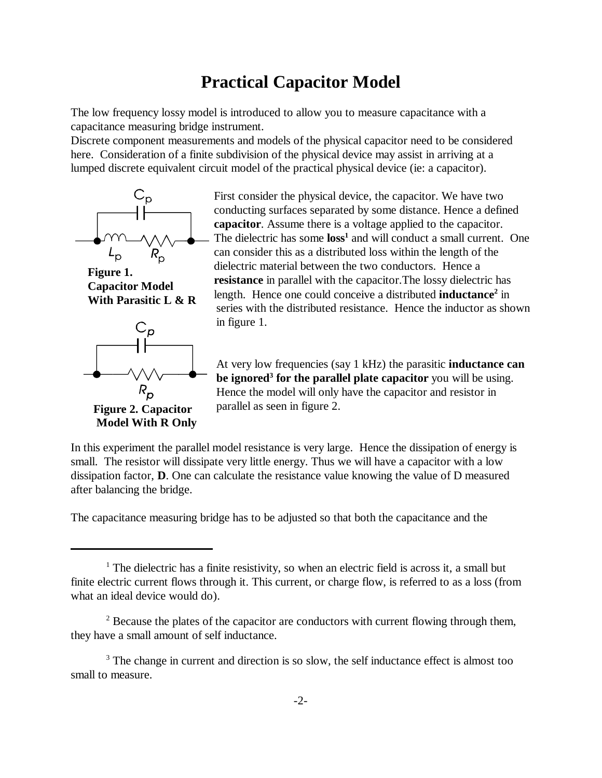## **Practical Capacitor Model**

The low frequency lossy model is introduced to allow you to measure capacitance with a capacitance measuring bridge instrument.

Discrete component measurements and models of the physical capacitor need to be considered here. Consideration of a finite subdivision of the physical device may assist in arriving at a lumped discrete equivalent circuit model of the practical physical device (ie: a capacitor).



**Figure 1. Capacitor Model With Parasitic L & R**



**Figure 2. Capacitor Model With R Only**

First consider the physical device, the capacitor. We have two conducting surfaces separated by some distance. Hence a defined **capacitor**. Assume there is a voltage applied to the capacitor. The dielectric has some **loss<sup>1</sup>** and will conduct a small current. One can consider this as a distributed loss within the length of the dielectric material between the two conductors. Hence a **resistance** in parallel with the capacitor.The lossy dielectric has length. Hence one could conceive a distributed **inductance**<sup>2</sup> in series with the distributed resistance. Hence the inductor as shown in figure 1.

At very low frequencies (say 1 kHz) the parasitic **inductance can be ignored<sup>3</sup> for the parallel plate capacitor** you will be using. Hence the model will only have the capacitor and resistor in parallel as seen in figure 2.

In this experiment the parallel model resistance is very large. Hence the dissipation of energy is small. The resistor will dissipate very little energy. Thus we will have a capacitor with a low dissipation factor, **D**. One can calculate the resistance value knowing the value of D measured after balancing the bridge.

The capacitance measuring bridge has to be adjusted so that both the capacitance and the

<sup>&</sup>lt;sup>1</sup> The dielectric has a finite resistivity, so when an electric field is across it, a small but finite electric current flows through it. This current, or charge flow, is referred to as a loss (from what an ideal device would do).

 $2^2$  Because the plates of the capacitor are conductors with current flowing through them, they have a small amount of self inductance.

<sup>&</sup>lt;sup>3</sup> The change in current and direction is so slow, the self inductance effect is almost too small to measure.